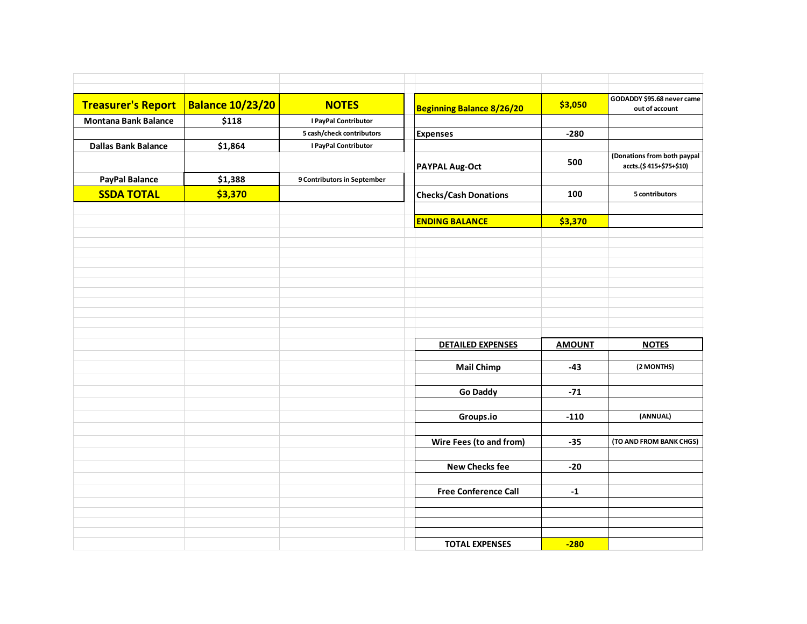| <b>Treasurer's Report</b>   | <b>Balance 10/23/20</b> | <b>NOTES</b>                | <b>Beginning Balance 8/26/20</b> | \$3,050       | GODADDY \$95.68 never came<br>out of account           |
|-----------------------------|-------------------------|-----------------------------|----------------------------------|---------------|--------------------------------------------------------|
| <b>Montana Bank Balance</b> | \$118                   | I PayPal Contributor        |                                  |               |                                                        |
|                             |                         | 5 cash/check contributors   | <b>Expenses</b>                  | $-280$        |                                                        |
| <b>Dallas Bank Balance</b>  | \$1,864                 | I PayPal Contributor        |                                  |               |                                                        |
|                             |                         |                             | <b>PAYPAL Aug-Oct</b>            | 500           | (Donations from both paypal<br>accts.(\$415+\$75+\$10) |
| <b>PayPal Balance</b>       | \$1,388                 | 9 Contributors in September |                                  |               |                                                        |
| <b>SSDA TOTAL</b>           | \$3,370                 |                             | <b>Checks/Cash Donations</b>     | 100           | 5 contributors                                         |
|                             |                         |                             | <b>ENDING BALANCE</b>            | \$3,370       |                                                        |
|                             |                         |                             |                                  |               |                                                        |
|                             |                         |                             |                                  |               |                                                        |
|                             |                         |                             |                                  |               |                                                        |
|                             |                         |                             |                                  |               |                                                        |
|                             |                         |                             |                                  |               |                                                        |
|                             |                         |                             |                                  |               |                                                        |
|                             |                         |                             |                                  |               |                                                        |
|                             |                         |                             |                                  |               |                                                        |
|                             |                         |                             |                                  |               |                                                        |
|                             |                         |                             | <b>DETAILED EXPENSES</b>         | <b>AMOUNT</b> | <b>NOTES</b>                                           |
|                             |                         |                             | <b>Mail Chimp</b>                | $-43$         | (2 MONTHS)                                             |
|                             |                         |                             |                                  |               |                                                        |
|                             |                         |                             | <b>Go Daddy</b>                  | $-71$         |                                                        |
|                             |                         |                             |                                  |               |                                                        |
|                             |                         |                             | Groups.io                        | $-110$        | (ANNUAL)                                               |
|                             |                         |                             |                                  |               |                                                        |
|                             |                         |                             | Wire Fees (to and from)          | $-35$         | (TO AND FROM BANK CHGS)                                |
|                             |                         |                             |                                  |               |                                                        |
|                             |                         |                             | <b>New Checks fee</b>            | $-20$         |                                                        |
|                             |                         |                             |                                  |               |                                                        |
|                             |                         |                             | <b>Free Conference Call</b>      | $-1$          |                                                        |
|                             |                         |                             |                                  |               |                                                        |
|                             |                         |                             |                                  |               |                                                        |
|                             |                         |                             |                                  |               |                                                        |
|                             |                         |                             | <b>TOTAL EXPENSES</b>            | $-280$        |                                                        |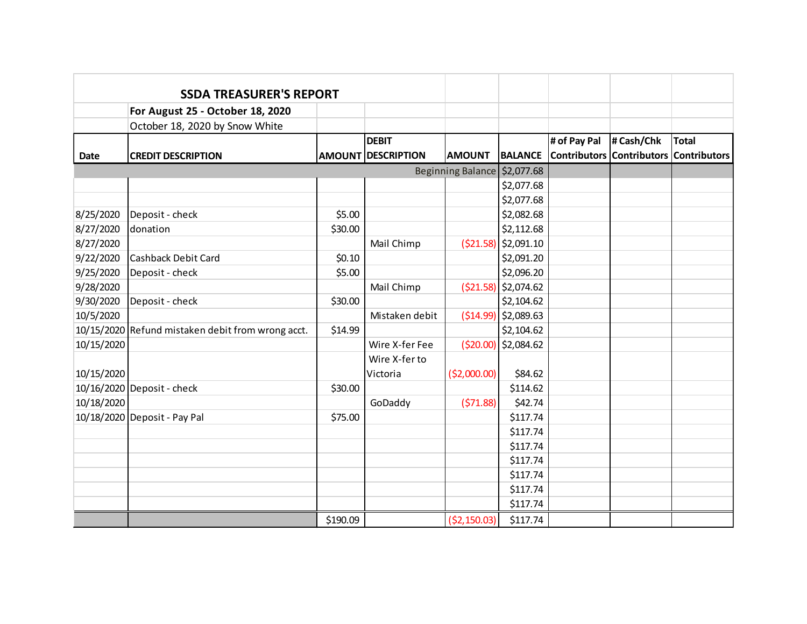|            | <b>SSDA TREASURER'S REPORT</b>                    |          |                           |               |                        |                                        |            |              |
|------------|---------------------------------------------------|----------|---------------------------|---------------|------------------------|----------------------------------------|------------|--------------|
|            | For August 25 - October 18, 2020                  |          |                           |               |                        |                                        |            |              |
|            | October 18, 2020 by Snow White                    |          |                           |               |                        |                                        |            |              |
|            |                                                   |          | <b>DEBIT</b>              |               |                        | # of Pay Pal                           | # Cash/Chk | <b>Total</b> |
| Date       | <b>CREDIT DESCRIPTION</b>                         |          | <b>AMOUNT DESCRIPTION</b> | <b>AMOUNT</b> | <b>BALANCE</b>         | Contributors Contributors Contributors |            |              |
|            | Beginning Balance \$2,077.68                      |          |                           |               |                        |                                        |            |              |
|            |                                                   |          |                           |               | \$2,077.68             |                                        |            |              |
|            |                                                   |          |                           |               | \$2,077.68             |                                        |            |              |
| 8/25/2020  | Deposit - check                                   | \$5.00   |                           |               | \$2,082.68             |                                        |            |              |
| 8/27/2020  | donation                                          | \$30.00  |                           |               | \$2,112.68             |                                        |            |              |
| 8/27/2020  |                                                   |          | Mail Chimp                | (521.58)      | \$2,091.10             |                                        |            |              |
| 9/22/2020  | <b>Cashback Debit Card</b>                        | \$0.10   |                           |               | \$2,091.20             |                                        |            |              |
| 9/25/2020  | Deposit - check                                   | \$5.00   |                           |               | \$2,096.20             |                                        |            |              |
| 9/28/2020  |                                                   |          | Mail Chimp                |               | $( $21.58)$ \$2,074.62 |                                        |            |              |
| 9/30/2020  | Deposit - check                                   | \$30.00  |                           |               | \$2,104.62             |                                        |            |              |
| 10/5/2020  |                                                   |          | Mistaken debit            | ( \$14.99)    | \$2,089.63             |                                        |            |              |
|            | 10/15/2020 Refund mistaken debit from wrong acct. | \$14.99  |                           |               | \$2,104.62             |                                        |            |              |
| 10/15/2020 |                                                   |          | Wire X-fer Fee            | (520.00)      | \$2,084.62             |                                        |            |              |
|            |                                                   |          | Wire X-fer to             |               |                        |                                        |            |              |
| 10/15/2020 |                                                   |          | Victoria                  | ( \$2,000.00) | \$84.62                |                                        |            |              |
|            | 10/16/2020 Deposit - check                        | \$30.00  |                           |               | \$114.62               |                                        |            |              |
| 10/18/2020 |                                                   |          | GoDaddy                   | (571.88)      | \$42.74                |                                        |            |              |
|            | 10/18/2020 Deposit - Pay Pal                      | \$75.00  |                           |               | \$117.74               |                                        |            |              |
|            |                                                   |          |                           |               | \$117.74               |                                        |            |              |
|            |                                                   |          |                           |               | \$117.74               |                                        |            |              |
|            |                                                   |          |                           |               | \$117.74               |                                        |            |              |
|            |                                                   |          |                           |               | \$117.74               |                                        |            |              |
|            |                                                   |          |                           |               | \$117.74               |                                        |            |              |
|            |                                                   |          |                           |               | \$117.74               |                                        |            |              |
|            |                                                   | \$190.09 |                           | ( \$2,150.03) | \$117.74               |                                        |            |              |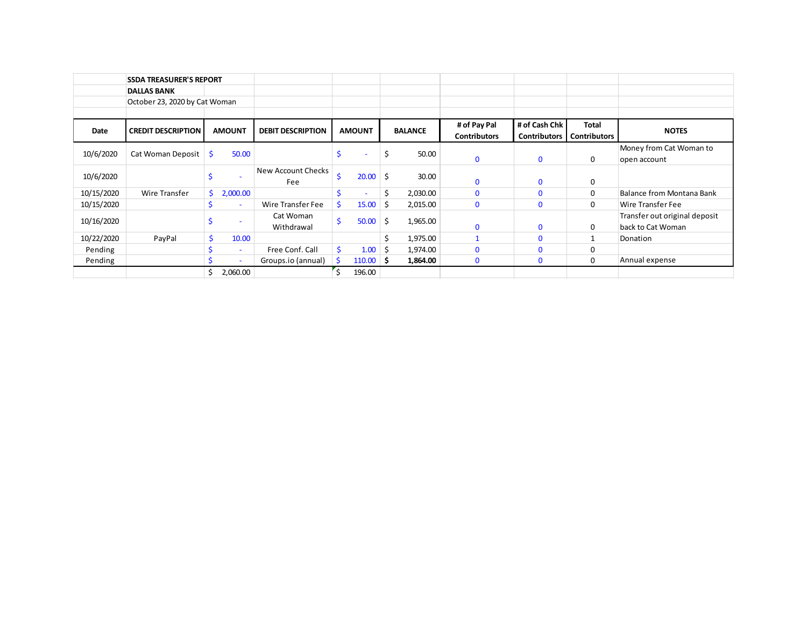|            | <b>SSDA TREASURER'S REPORT</b> |    |                          |                          |    |               |     |                |                     |                     |                     |                                  |
|------------|--------------------------------|----|--------------------------|--------------------------|----|---------------|-----|----------------|---------------------|---------------------|---------------------|----------------------------------|
|            | <b>DALLAS BANK</b>             |    |                          |                          |    |               |     |                |                     |                     |                     |                                  |
|            | October 23, 2020 by Cat Woman  |    |                          |                          |    |               |     |                |                     |                     |                     |                                  |
|            |                                |    |                          |                          |    |               |     |                |                     |                     |                     |                                  |
| Date       | <b>CREDIT DESCRIPTION</b>      |    | <b>AMOUNT</b>            | <b>DEBIT DESCRIPTION</b> |    | <b>AMOUNT</b> |     | <b>BALANCE</b> | # of Pay Pal        | # of Cash Chk       | <b>Total</b>        | <b>NOTES</b>                     |
|            |                                |    |                          |                          |    |               |     |                | <b>Contributors</b> | <b>Contributors</b> | <b>Contributors</b> |                                  |
| 10/6/2020  | Cat Woman Deposit              | Ŝ. | 50.00                    |                          |    |               | \$  | 50.00          |                     |                     |                     | Money from Cat Woman to          |
|            |                                |    |                          |                          |    |               |     |                | $\mathbf 0$         | $\mathbf 0$         | 0                   | open account                     |
| 10/6/2020  |                                |    |                          | New Account Checks       | Ś  | $20.00$ \$    |     | 30.00          |                     |                     |                     |                                  |
|            |                                |    |                          | Fee                      |    |               |     |                | $\Omega$            | 0                   | 0                   |                                  |
| 10/15/2020 | Wire Transfer                  | S  | 2,000.00                 |                          |    |               | \$  | 2,030.00       | $\Omega$            | $\mathbf{0}$        | 0                   | <b>Balance from Montana Bank</b> |
| 10/15/2020 |                                |    | $\overline{\phantom{a}}$ | Wire Transfer Fee        | Ś. | 15.00         | -S  | 2,015.00       | $\mathbf 0$         | $\mathbf 0$         | 0                   | Wire Transfer Fee                |
| 10/16/2020 |                                |    |                          | Cat Woman                | Ś  | 50.00         | Ŝ.  | 1,965.00       |                     |                     |                     | Transfer out original deposit    |
|            |                                |    |                          | Withdrawal               |    |               |     |                | $\mathbf{0}$        | $\mathbf 0$         | 0                   | back to Cat Woman                |
| 10/22/2020 | PayPal                         |    | 10.00                    |                          |    |               |     | 1,975.00       |                     | $\Omega$            |                     | Donation                         |
| Pending    |                                |    | $\overline{\phantom{a}}$ | Free Conf. Call          | Ś  | 1.00          | -\$ | 1,974.00       | $\Omega$            | O                   | 0                   |                                  |
| Pending    |                                |    |                          | Groups.io (annual)       |    | $110.00$ \$   |     | 1,864.00       | $\mathbf 0$         | 0                   | 0                   | Annual expense                   |
|            |                                | Ś. | 2,060.00                 |                          |    | 196.00        |     |                |                     |                     |                     |                                  |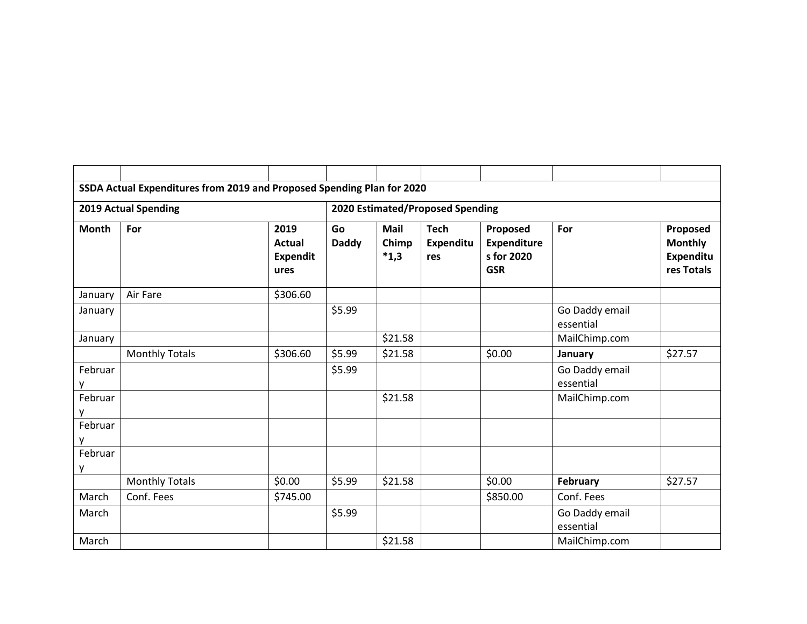|                             | SSDA Actual Expenditures from 2019 and Proposed Spending Plan for 2020 |                                           |                    |                                  |                                 |                                                            |                             |                                                       |
|-----------------------------|------------------------------------------------------------------------|-------------------------------------------|--------------------|----------------------------------|---------------------------------|------------------------------------------------------------|-----------------------------|-------------------------------------------------------|
| <b>2019 Actual Spending</b> |                                                                        |                                           |                    | 2020 Estimated/Proposed Spending |                                 |                                                            |                             |                                                       |
| <b>Month</b>                | For                                                                    | 2019<br>Actual<br><b>Expendit</b><br>ures | Go<br><b>Daddy</b> | <b>Mail</b><br>Chimp<br>$*1,3$   | <b>Tech</b><br>Expenditu<br>res | Proposed<br><b>Expenditure</b><br>s for 2020<br><b>GSR</b> | For                         | Proposed<br><b>Monthly</b><br>Expenditu<br>res Totals |
| January                     | Air Fare                                                               | \$306.60                                  |                    |                                  |                                 |                                                            |                             |                                                       |
| January                     |                                                                        |                                           | \$5.99             |                                  |                                 |                                                            | Go Daddy email<br>essential |                                                       |
| January                     |                                                                        |                                           |                    | \$21.58                          |                                 |                                                            | MailChimp.com               |                                                       |
|                             | <b>Monthly Totals</b>                                                  | \$306.60                                  | \$5.99             | \$21.58                          |                                 | \$0.00                                                     | January                     | \$27.57                                               |
| Februar<br>у                |                                                                        |                                           | \$5.99             |                                  |                                 |                                                            | Go Daddy email<br>essential |                                                       |
| Februar<br>у                |                                                                        |                                           |                    | \$21.58                          |                                 |                                                            | MailChimp.com               |                                                       |
| Februar<br>V                |                                                                        |                                           |                    |                                  |                                 |                                                            |                             |                                                       |
| Februar<br>y                |                                                                        |                                           |                    |                                  |                                 |                                                            |                             |                                                       |
|                             | <b>Monthly Totals</b>                                                  | \$0.00                                    | \$5.99             | \$21.58                          |                                 | \$0.00                                                     | February                    | \$27.57                                               |
| March                       | Conf. Fees                                                             | \$745.00                                  |                    |                                  |                                 | \$850.00                                                   | Conf. Fees                  |                                                       |
| March                       |                                                                        |                                           | \$5.99             |                                  |                                 |                                                            | Go Daddy email<br>essential |                                                       |
| March                       |                                                                        |                                           |                    | \$21.58                          |                                 |                                                            | MailChimp.com               |                                                       |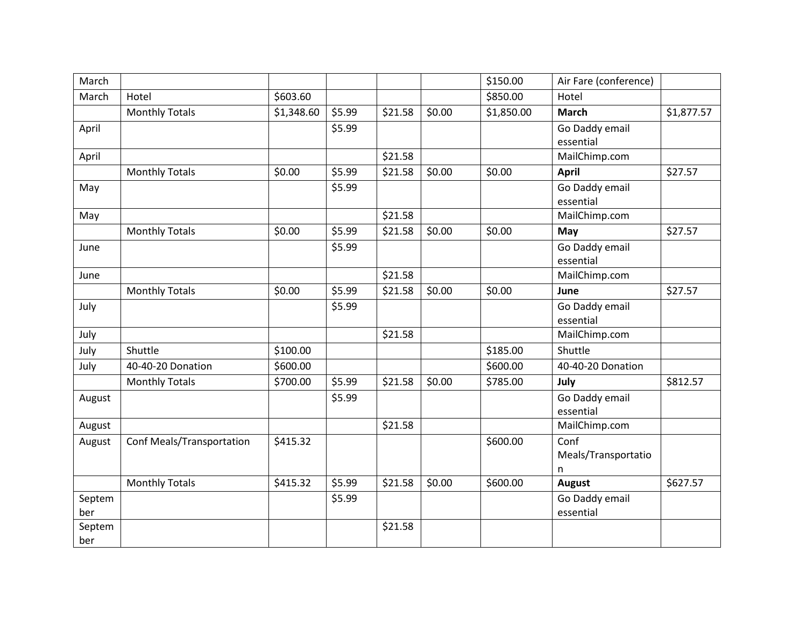| March  |                           |            |        |         |        | \$150.00   | Air Fare (conference) |            |
|--------|---------------------------|------------|--------|---------|--------|------------|-----------------------|------------|
| March  | Hotel                     | \$603.60   |        |         |        | \$850.00   | Hotel                 |            |
|        | <b>Monthly Totals</b>     | \$1,348.60 | \$5.99 | \$21.58 | \$0.00 | \$1,850.00 | <b>March</b>          | \$1,877.57 |
| April  |                           |            | \$5.99 |         |        |            | Go Daddy email        |            |
|        |                           |            |        |         |        |            | essential             |            |
| April  |                           |            |        | \$21.58 |        |            | MailChimp.com         |            |
|        | <b>Monthly Totals</b>     | \$0.00     | \$5.99 | \$21.58 | \$0.00 | \$0.00     | <b>April</b>          | \$27.57    |
| May    |                           |            | \$5.99 |         |        |            | Go Daddy email        |            |
|        |                           |            |        |         |        |            | essential             |            |
| May    |                           |            |        | \$21.58 |        |            | MailChimp.com         |            |
|        | <b>Monthly Totals</b>     | \$0.00     | \$5.99 | \$21.58 | \$0.00 | \$0.00     | May                   | \$27.57    |
| June   |                           |            | \$5.99 |         |        |            | Go Daddy email        |            |
|        |                           |            |        |         |        |            | essential             |            |
| June   |                           |            |        | \$21.58 |        |            | MailChimp.com         |            |
|        | <b>Monthly Totals</b>     | \$0.00     | \$5.99 | \$21.58 | \$0.00 | \$0.00     | June                  | \$27.57    |
| July   |                           |            | \$5.99 |         |        |            | Go Daddy email        |            |
|        |                           |            |        |         |        |            | essential             |            |
| July   |                           |            |        | \$21.58 |        |            | MailChimp.com         |            |
| July   | Shuttle                   | \$100.00   |        |         |        | \$185.00   | Shuttle               |            |
| July   | 40-40-20 Donation         | \$600.00   |        |         |        | \$600.00   | 40-40-20 Donation     |            |
|        | <b>Monthly Totals</b>     | \$700.00   | \$5.99 | \$21.58 | \$0.00 | \$785.00   | July                  | \$812.57   |
| August |                           |            | \$5.99 |         |        |            | Go Daddy email        |            |
|        |                           |            |        |         |        |            | essential             |            |
| August |                           |            |        | \$21.58 |        |            | MailChimp.com         |            |
| August | Conf Meals/Transportation | \$415.32   |        |         |        | \$600.00   | Conf                  |            |
|        |                           |            |        |         |        |            | Meals/Transportatio   |            |
|        |                           |            |        |         |        |            | n                     |            |
|        | <b>Monthly Totals</b>     | \$415.32   | \$5.99 | \$21.58 | \$0.00 | \$600.00   | <b>August</b>         | \$627.57   |
| Septem |                           |            | \$5.99 |         |        |            | Go Daddy email        |            |
| ber    |                           |            |        |         |        |            | essential             |            |
| Septem |                           |            |        | \$21.58 |        |            |                       |            |
| ber    |                           |            |        |         |        |            |                       |            |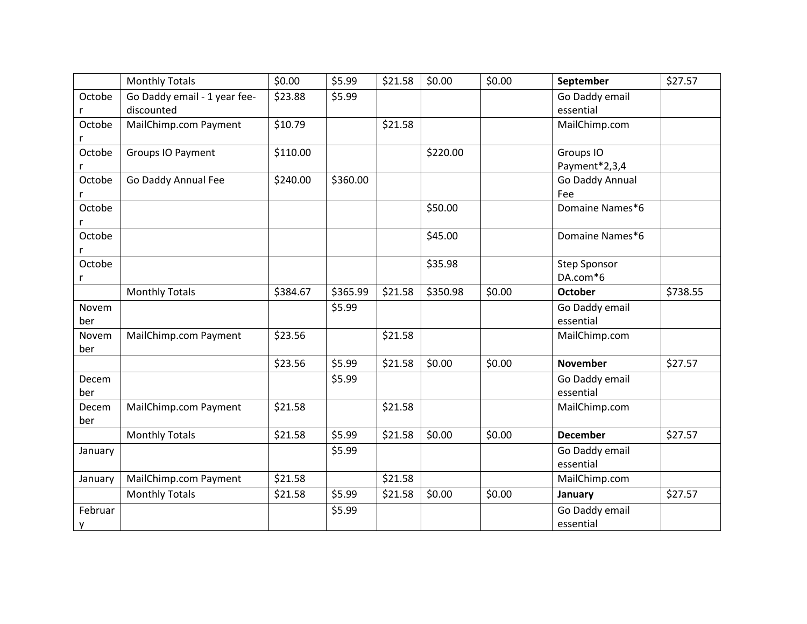|         | <b>Monthly Totals</b>        | \$0.00   | \$5.99   | \$21.58 | \$0.00   | \$0.00 | September           | \$27.57  |
|---------|------------------------------|----------|----------|---------|----------|--------|---------------------|----------|
| Octobe  | Go Daddy email - 1 year fee- | \$23.88  | \$5.99   |         |          |        | Go Daddy email      |          |
|         | discounted                   |          |          |         |          |        | essential           |          |
| Octobe  | MailChimp.com Payment        | \$10.79  |          | \$21.58 |          |        | MailChimp.com       |          |
| r       |                              |          |          |         |          |        |                     |          |
| Octobe  | Groups IO Payment            | \$110.00 |          |         | \$220.00 |        | Groups IO           |          |
|         |                              |          |          |         |          |        | Payment*2,3,4       |          |
| Octobe  | Go Daddy Annual Fee          | \$240.00 | \$360.00 |         |          |        | Go Daddy Annual     |          |
| r       |                              |          |          |         |          |        | Fee                 |          |
| Octobe  |                              |          |          |         | \$50.00  |        | Domaine Names*6     |          |
| r       |                              |          |          |         |          |        |                     |          |
| Octobe  |                              |          |          |         | \$45.00  |        | Domaine Names*6     |          |
| r       |                              |          |          |         |          |        |                     |          |
| Octobe  |                              |          |          |         | \$35.98  |        | <b>Step Sponsor</b> |          |
| r       |                              |          |          |         |          |        | DA.com*6            |          |
|         | <b>Monthly Totals</b>        | \$384.67 | \$365.99 | \$21.58 | \$350.98 | \$0.00 | <b>October</b>      | \$738.55 |
| Novem   |                              |          | \$5.99   |         |          |        | Go Daddy email      |          |
| ber     |                              |          |          |         |          |        | essential           |          |
| Novem   | MailChimp.com Payment        | \$23.56  |          | \$21.58 |          |        | MailChimp.com       |          |
| ber     |                              |          |          |         |          |        |                     |          |
|         |                              | \$23.56  | \$5.99   | \$21.58 | \$0.00   | \$0.00 | <b>November</b>     | \$27.57  |
| Decem   |                              |          | \$5.99   |         |          |        | Go Daddy email      |          |
| ber     |                              |          |          |         |          |        | essential           |          |
| Decem   | MailChimp.com Payment        | \$21.58  |          | \$21.58 |          |        | MailChimp.com       |          |
| ber     |                              |          |          |         |          |        |                     |          |
|         | <b>Monthly Totals</b>        | \$21.58  | \$5.99   | \$21.58 | \$0.00   | \$0.00 | <b>December</b>     | \$27.57  |
| January |                              |          | \$5.99   |         |          |        | Go Daddy email      |          |
|         |                              |          |          |         |          |        | essential           |          |
| January | MailChimp.com Payment        | \$21.58  |          | \$21.58 |          |        | MailChimp.com       |          |
|         | <b>Monthly Totals</b>        | \$21.58  | \$5.99   | \$21.58 | \$0.00   | \$0.00 | January             | \$27.57  |
| Februar |                              |          | \$5.99   |         |          |        | Go Daddy email      |          |
| y       |                              |          |          |         |          |        | essential           |          |